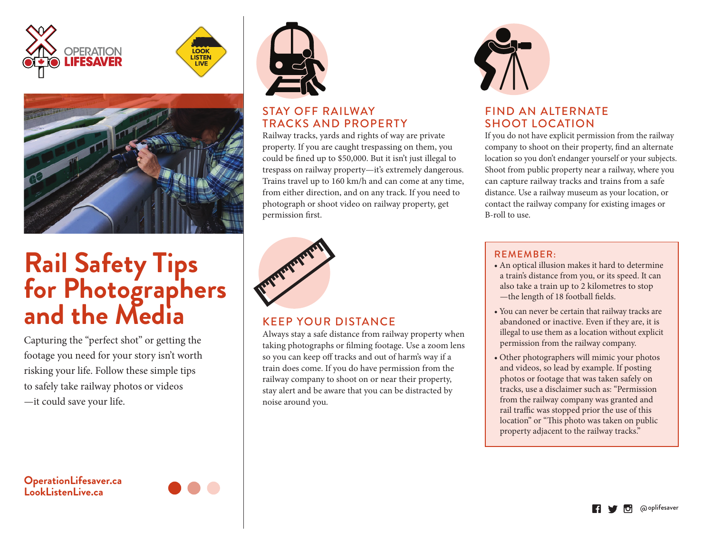





# **Rail Safety Tips for Photographers and the Media**

Capturing the "perfect shot" or getting the footage you need for your story isn't worth risking your life. Follow these simple tips to safely take railway photos or videos —it could save your life.

#### **OperationLifesaver.ca LookListenLive.ca**





#### STAY OFF RAILWAY TRACKS AND PROPERTY

Railway tracks, yards and rights of way are private property. If you are caught trespassing on them, you could be fined up to \$50,000. But it isn't just illegal to trespass on railway property—it's extremely dangerous. Trains travel up to 160 km/h and can come at any time, from either direction, and on any track. If you need to photograph or shoot video on railway property, get permission first.



#### KEEP YOUR DISTANCE

Always stay a safe distance from railway property when taking photographs or filming footage. Use a zoom lens so you can keep off tracks and out of harm's way if a train does come. If you do have permission from the railway company to shoot on or near their property, stay alert and be aware that you can be distracted by noise around you.



#### FIND AN ALTERNATE SHOOT LOCATION

If you do not have explicit permission from the railway company to shoot on their property, find an alternate location so you don't endanger yourself or your subjects. Shoot from public property near a railway, where you can capture railway tracks and trains from a safe distance. Use a railway museum as your location, or contact the railway company for existing images or B-roll to use.

#### REMEMBER:

- An optical illusion makes it hard to determine a train's distance from you, or its speed. It can also take a train up to 2 kilometres to stop -the length of 18 football fields.
- You can never be certain that railway tracks are abandoned or inactive. Even if they are, it is illegal to use them as a location without explicit permission from the railway company.
- Other photographers will mimic your photos and videos, so lead by example. If posting photos or footage that was taken safely on tracks, use a disclaimer such as: "Permission from the railway company was granted and rail traffic was stopped prior the use of this location" or "This photo was taken on public property adjacent to the railway tracks."